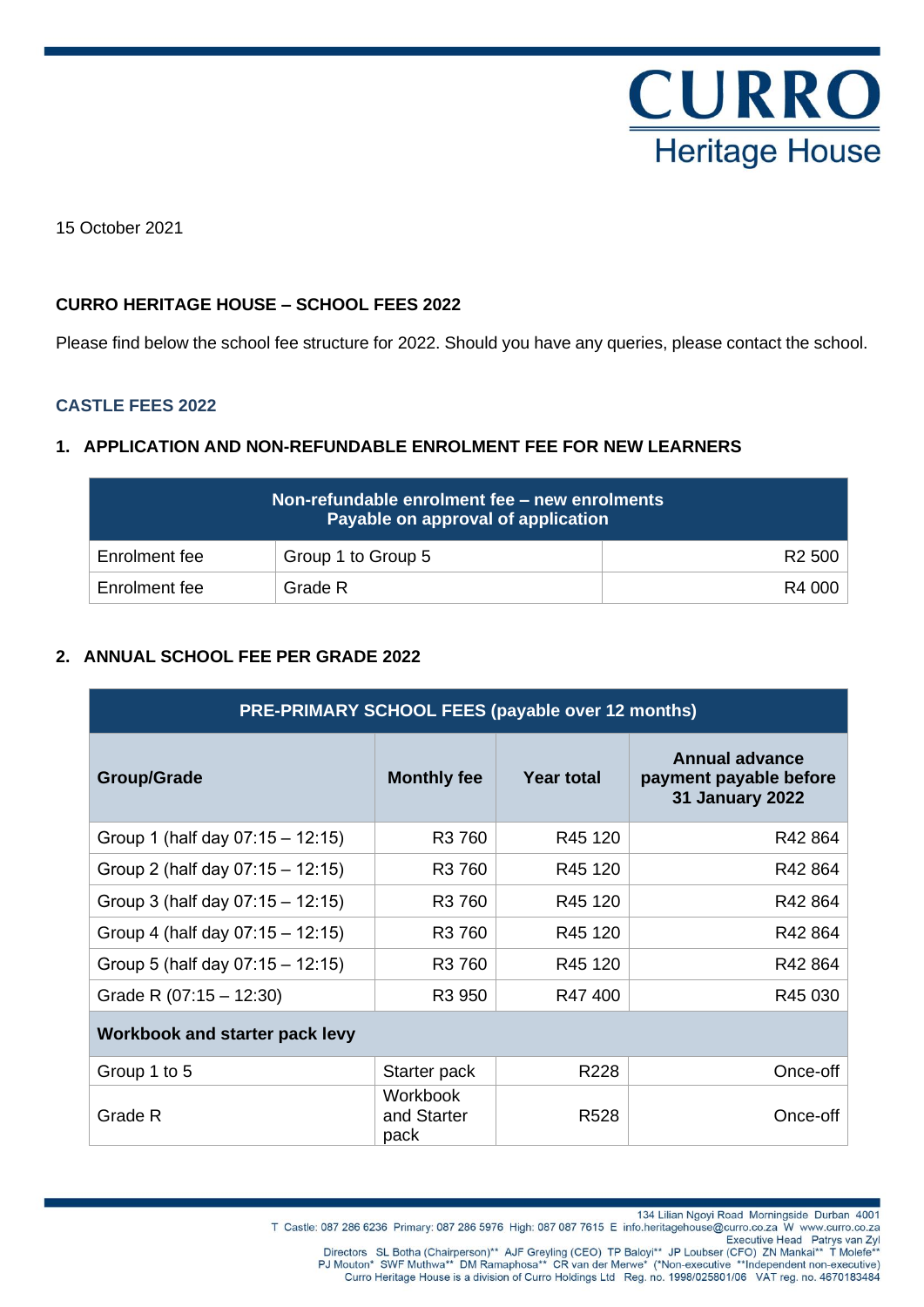

15 October 2021

### **CURRO HERITAGE HOUSE – SCHOOL FEES 2022**

Please find below the school fee structure for 2022. Should you have any queries, please contact the school.

### **CASTLE FEES 2022**

### **1. APPLICATION AND NON-REFUNDABLE ENROLMENT FEE FOR NEW LEARNERS**

| Non-refundable enrolment fee - new enrolments<br>Payable on approval of application |                    |                    |  |  |
|-------------------------------------------------------------------------------------|--------------------|--------------------|--|--|
| Enrolment fee                                                                       | Group 1 to Group 5 | R <sub>2</sub> 500 |  |  |
| Enrolment fee                                                                       | Grade R            | R4 000             |  |  |

## **2. ANNUAL SCHOOL FEE PER GRADE 2022**

| <b>PRE-PRIMARY SCHOOL FEES (payable over 12 months)</b> |                                 |                     |                                                                           |  |
|---------------------------------------------------------|---------------------------------|---------------------|---------------------------------------------------------------------------|--|
| <b>Group/Grade</b>                                      | <b>Monthly fee</b>              | <b>Year total</b>   | <b>Annual advance</b><br>payment payable before<br><b>31 January 2022</b> |  |
| Group 1 (half day $07:15 - 12:15$ )                     | R <sub>3</sub> 760              | R <sub>45</sub> 120 | R42 864                                                                   |  |
| Group 2 (half day $07:15 - 12:15$ )                     | R3 760                          | R45 120             | R42 864                                                                   |  |
| Group 3 (half day $07:15 - 12:15$ )                     | R3 760                          | R <sub>45</sub> 120 | R42 864                                                                   |  |
| Group 4 (half day $07:15 - 12:15$ )                     | R3 760                          | R45 120             | R42 864                                                                   |  |
| Group 5 (half day $07:15 - 12:15$ )                     | R <sub>3</sub> 760              | R <sub>45</sub> 120 | R42 864                                                                   |  |
| Grade R $(07:15 - 12:30)$                               | R <sub>3</sub> 950              | R47400              | R45 030                                                                   |  |
| Workbook and starter pack levy                          |                                 |                     |                                                                           |  |
| Group 1 to 5                                            | Starter pack                    | R228                | Once-off                                                                  |  |
| Grade R                                                 | Workbook<br>and Starter<br>pack | R <sub>528</sub>    | Once-off                                                                  |  |

Executive Head Patrys van Zyl<br>Directors SL Botha (Chairperson)\*\* AJF Greyling (CEO) TP Baloyi\*\* JP Loubser (CFO) ZN Mankai\*\* T Molefe<sup>\*\*</sup><br>PJ Mouton\* SWF Muthwa\*\* DM Ramaphosa\*\* CR van der Merwe\* (\*Non-executive \*\*Independe Curro Heritage House is a division of Curro Holdings Ltd Reg. no. 1998/025801/06 VAT reg. no. 4670183484

T Castle: 087 286 6236 Primary: 087 286 5976 High: 087 087 7615 E info.heritagehouse@curro.co.za W www.curro.co.za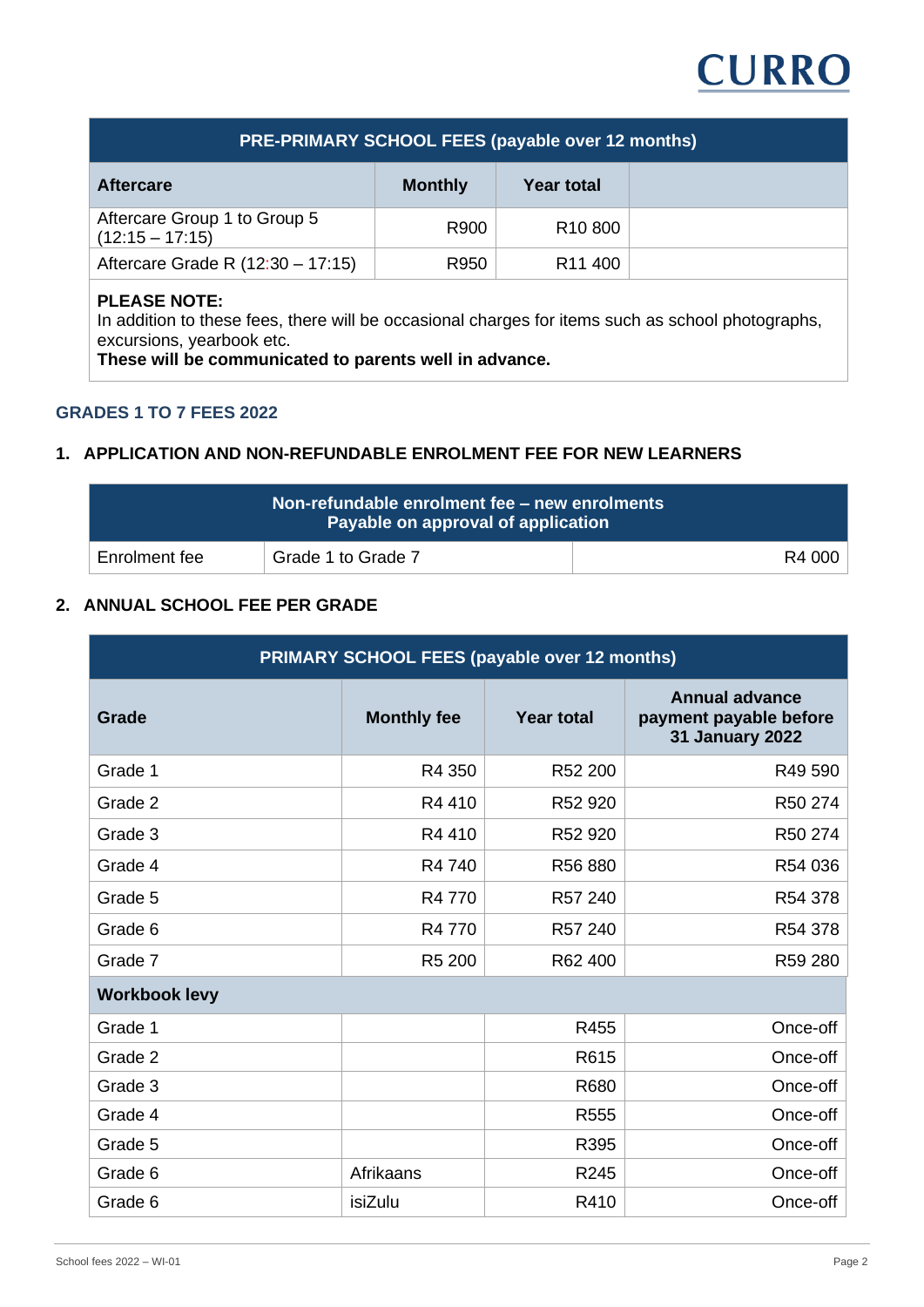

## **PRE-PRIMARY SCHOOL FEES (payable over 12 months)**

| <b>Aftercare</b>                                  | <b>Monthly</b> | Year total          |  |
|---------------------------------------------------|----------------|---------------------|--|
| Aftercare Group 1 to Group 5<br>$(12:15 - 17:15)$ | R900           | R <sub>10</sub> 800 |  |
| Aftercare Grade R (12:30 - 17:15)                 | R950           | R <sub>11</sub> 400 |  |

## **PLEASE NOTE:**

In addition to these fees, there will be occasional charges for items such as school photographs, excursions, yearbook etc.

**These will be communicated to parents well in advance.**

#### **GRADES 1 TO 7 FEES 2022**

#### **1. APPLICATION AND NON-REFUNDABLE ENROLMENT FEE FOR NEW LEARNERS**

|               | Non-refundable enrolment fee - new enrolments<br>Payable on approval of application |        |
|---------------|-------------------------------------------------------------------------------------|--------|
| Enrolment fee | Grade 1 to Grade 7                                                                  | R4 000 |

# **2. ANNUAL SCHOOL FEE PER GRADE**

| PRIMARY SCHOOL FEES (payable over 12 months) |                    |                   |                                                                           |  |
|----------------------------------------------|--------------------|-------------------|---------------------------------------------------------------------------|--|
| Grade                                        | <b>Monthly fee</b> | <b>Year total</b> | <b>Annual advance</b><br>payment payable before<br><b>31 January 2022</b> |  |
| Grade 1                                      | R4 350             | R52 200           | R49 590                                                                   |  |
| Grade 2                                      | R4410              | R52 920           | R50 274                                                                   |  |
| Grade 3                                      | R4410              | R52 920           | R50 274                                                                   |  |
| Grade 4                                      | R4 740             | R56 880           | R54 036                                                                   |  |
| Grade 5                                      | R4 770             | R57 240           | R54 378                                                                   |  |
| Grade 6                                      | R4 770             | R57 240           | R54 378                                                                   |  |
| Grade 7                                      | R <sub>5</sub> 200 | R62 400           | R59 280                                                                   |  |
| <b>Workbook levy</b>                         |                    |                   |                                                                           |  |
| Grade 1                                      |                    | R455              | Once-off                                                                  |  |
| Grade 2                                      |                    | R615              | Once-off                                                                  |  |
| Grade 3                                      |                    | R680              | Once-off                                                                  |  |
| Grade 4                                      |                    | R <sub>555</sub>  | Once-off                                                                  |  |
| Grade 5                                      |                    | R395              | Once-off                                                                  |  |
| Grade 6                                      | Afrikaans          | R245              | Once-off                                                                  |  |
| Grade 6                                      | isiZulu            | R410              | Once-off                                                                  |  |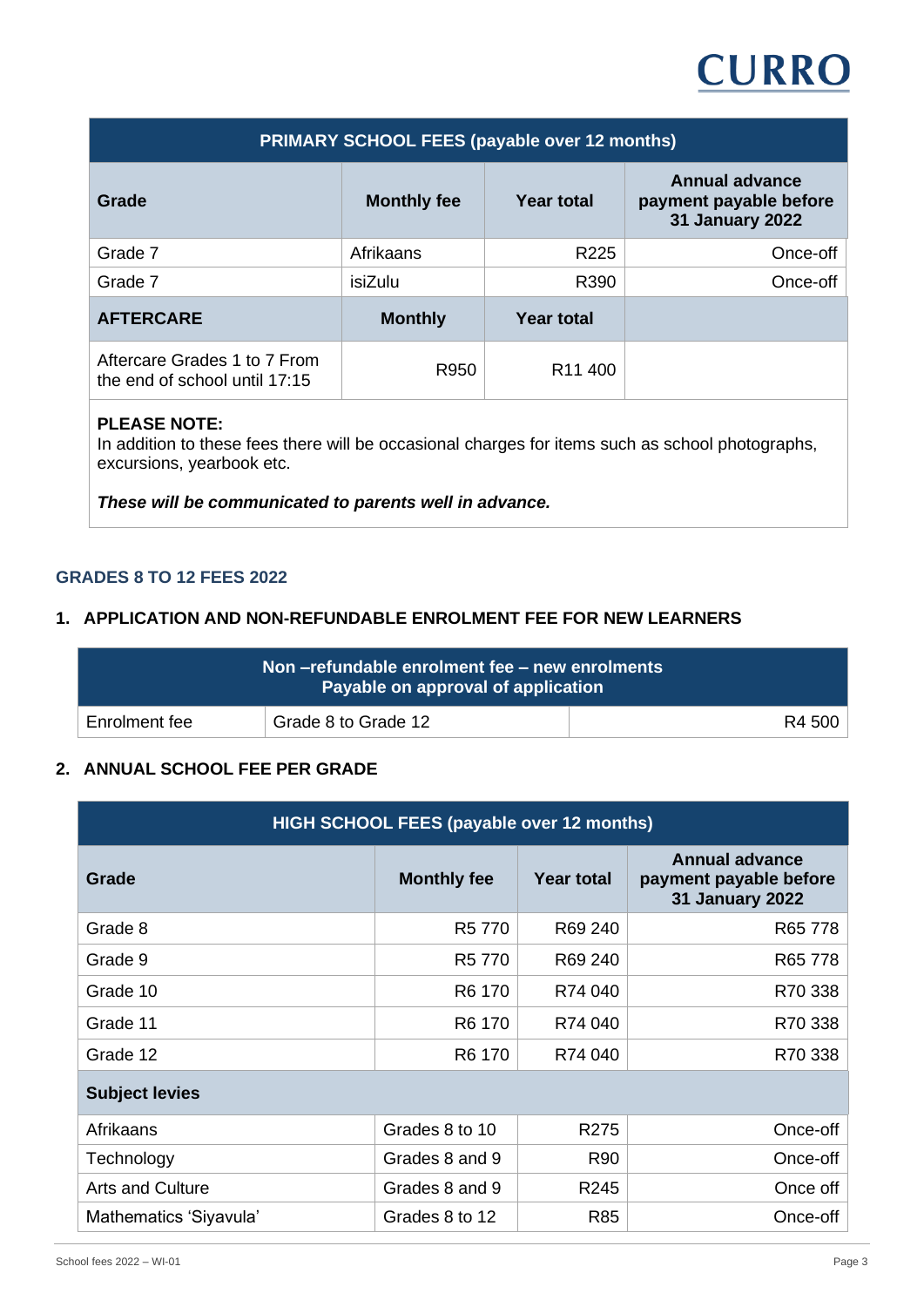# **CURRO**

| <b>PRIMARY SCHOOL FEES (payable over 12 months)</b>           |                                         |                     |                                                                           |  |  |
|---------------------------------------------------------------|-----------------------------------------|---------------------|---------------------------------------------------------------------------|--|--|
| Grade                                                         | <b>Year total</b><br><b>Monthly fee</b> |                     | <b>Annual advance</b><br>payment payable before<br><b>31 January 2022</b> |  |  |
| Grade 7                                                       | Afrikaans                               | R <sub>225</sub>    | Once-off                                                                  |  |  |
| Grade 7                                                       | isiZulu                                 | R390                | Once-off                                                                  |  |  |
| <b>AFTERCARE</b>                                              | <b>Monthly</b>                          | <b>Year total</b>   |                                                                           |  |  |
| Aftercare Grades 1 to 7 From<br>the end of school until 17:15 | R950                                    | R <sub>11</sub> 400 |                                                                           |  |  |

## **PLEASE NOTE:**

In addition to these fees there will be occasional charges for items such as school photographs, excursions, yearbook etc.

*These will be communicated to parents well in advance.*

### **GRADES 8 TO 12 FEES 2022**

#### **1. APPLICATION AND NON-REFUNDABLE ENROLMENT FEE FOR NEW LEARNERS**

|               | Non-refundable enrolment fee - new enrolments<br>Payable on approval of application |        |
|---------------|-------------------------------------------------------------------------------------|--------|
| Enrolment fee | Grade 8 to Grade 12                                                                 | R4 500 |

#### **2. ANNUAL SCHOOL FEE PER GRADE**

| HIGH SCHOOL FEES (payable over 12 months) |                    |                   |                                                                           |  |  |
|-------------------------------------------|--------------------|-------------------|---------------------------------------------------------------------------|--|--|
| Grade                                     | <b>Monthly fee</b> | <b>Year total</b> | <b>Annual advance</b><br>payment payable before<br><b>31 January 2022</b> |  |  |
| Grade 8                                   | R5 770             | R69 240           | R65 778                                                                   |  |  |
| Grade 9                                   | R5 770             | R69 240           | R65 778                                                                   |  |  |
| Grade 10                                  | R6 170             | R74 040           | R70 338                                                                   |  |  |
| Grade 11                                  | R <sub>6</sub> 170 | R74 040           | R70 338                                                                   |  |  |
| Grade 12                                  | R6 170             | R74 040           | R70 338                                                                   |  |  |
| <b>Subject levies</b>                     |                    |                   |                                                                           |  |  |
| Afrikaans                                 | Grades 8 to 10     | R275              | Once-off                                                                  |  |  |
| Technology                                | Grades 8 and 9     | <b>R90</b>        | Once-off                                                                  |  |  |
| <b>Arts and Culture</b>                   | Grades 8 and 9     | R <sub>245</sub>  | Once off                                                                  |  |  |
| Mathematics 'Siyavula'                    | Grades 8 to 12     | R85               | Once-off                                                                  |  |  |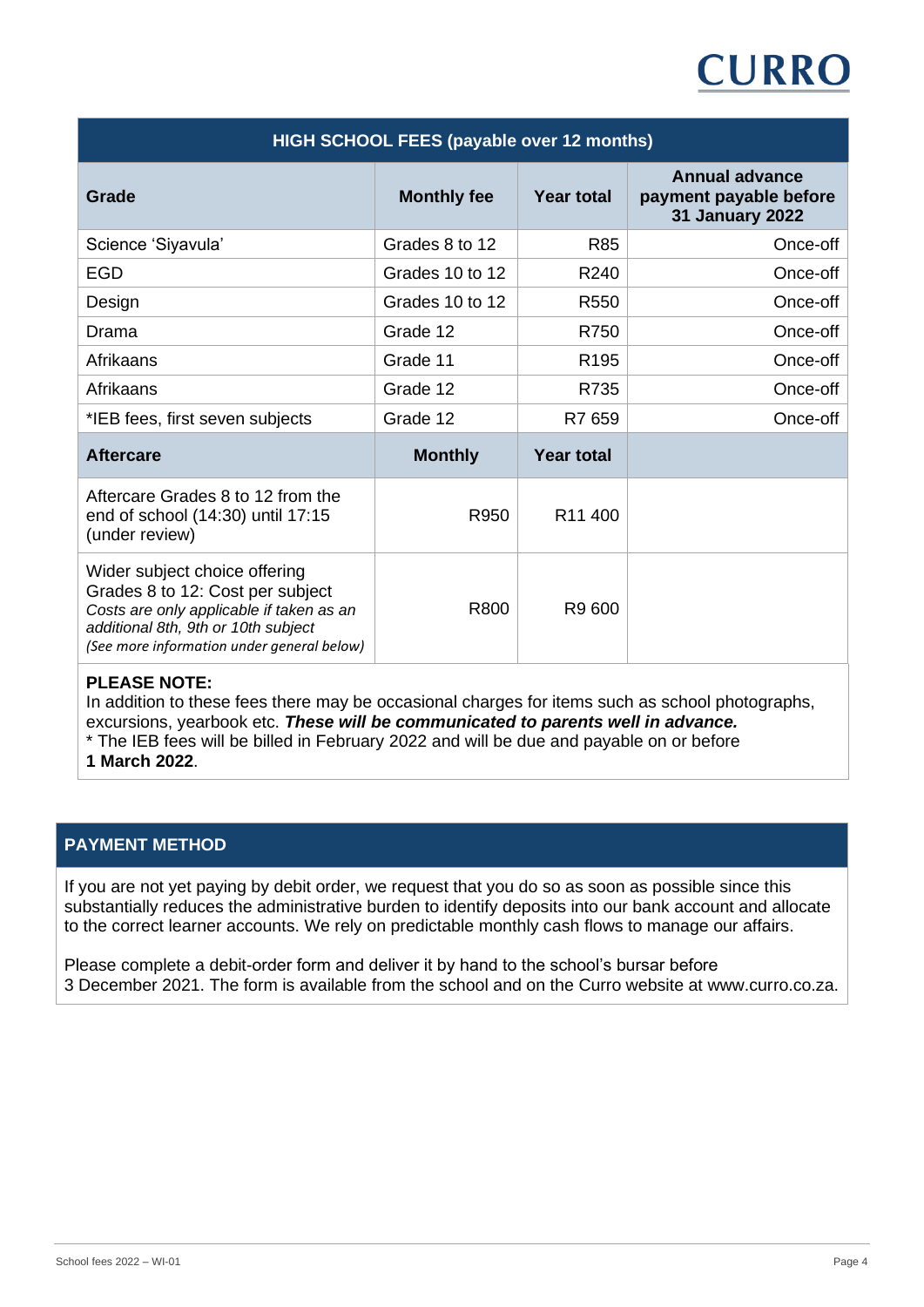# **CURRO**

| <b>HIGH SCHOOL FEES (payable over 12 months)</b>                                                                                                                                                   |                    |                     |                                                                           |  |
|----------------------------------------------------------------------------------------------------------------------------------------------------------------------------------------------------|--------------------|---------------------|---------------------------------------------------------------------------|--|
| <b>Grade</b>                                                                                                                                                                                       | <b>Monthly fee</b> | <b>Year total</b>   | <b>Annual advance</b><br>payment payable before<br><b>31 January 2022</b> |  |
| Science 'Siyavula'                                                                                                                                                                                 | Grades 8 to 12     | R85                 | Once-off                                                                  |  |
| <b>EGD</b>                                                                                                                                                                                         | Grades 10 to 12    | R240                | Once-off                                                                  |  |
| Design                                                                                                                                                                                             | Grades 10 to 12    | R <sub>550</sub>    | Once-off                                                                  |  |
| Drama                                                                                                                                                                                              | Grade 12           | R750                | Once-off                                                                  |  |
| Afrikaans                                                                                                                                                                                          | Grade 11           | R <sub>195</sub>    | Once-off                                                                  |  |
| Afrikaans                                                                                                                                                                                          | Grade 12           | R735                | Once-off                                                                  |  |
| *IEB fees, first seven subjects                                                                                                                                                                    | Grade 12           | R7 659              | Once-off                                                                  |  |
| <b>Aftercare</b>                                                                                                                                                                                   | <b>Monthly</b>     | <b>Year total</b>   |                                                                           |  |
| Aftercare Grades 8 to 12 from the<br>end of school (14:30) until 17:15<br>(under review)                                                                                                           | R950               | R <sub>11</sub> 400 |                                                                           |  |
| Wider subject choice offering<br>Grades 8 to 12: Cost per subject<br>Costs are only applicable if taken as an<br>additional 8th, 9th or 10th subject<br>(See more information under general below) | R800               | R9 600              |                                                                           |  |

#### **PLEASE NOTE:**

In addition to these fees there may be occasional charges for items such as school photographs, excursions, yearbook etc. *These will be communicated to parents well in advance.*

\* The IEB fees will be billed in February 2022 and will be due and payable on or before

**1 March 2022**.

## **PAYMENT METHOD**

If you are not yet paying by debit order, we request that you do so as soon as possible since this substantially reduces the administrative burden to identify deposits into our bank account and allocate to the correct learner accounts. We rely on predictable monthly cash flows to manage our affairs.

Please complete a debit-order form and deliver it by hand to the school's bursar before 3 December 2021. The form is available from the school and on the Curro website at www.curro.co.za.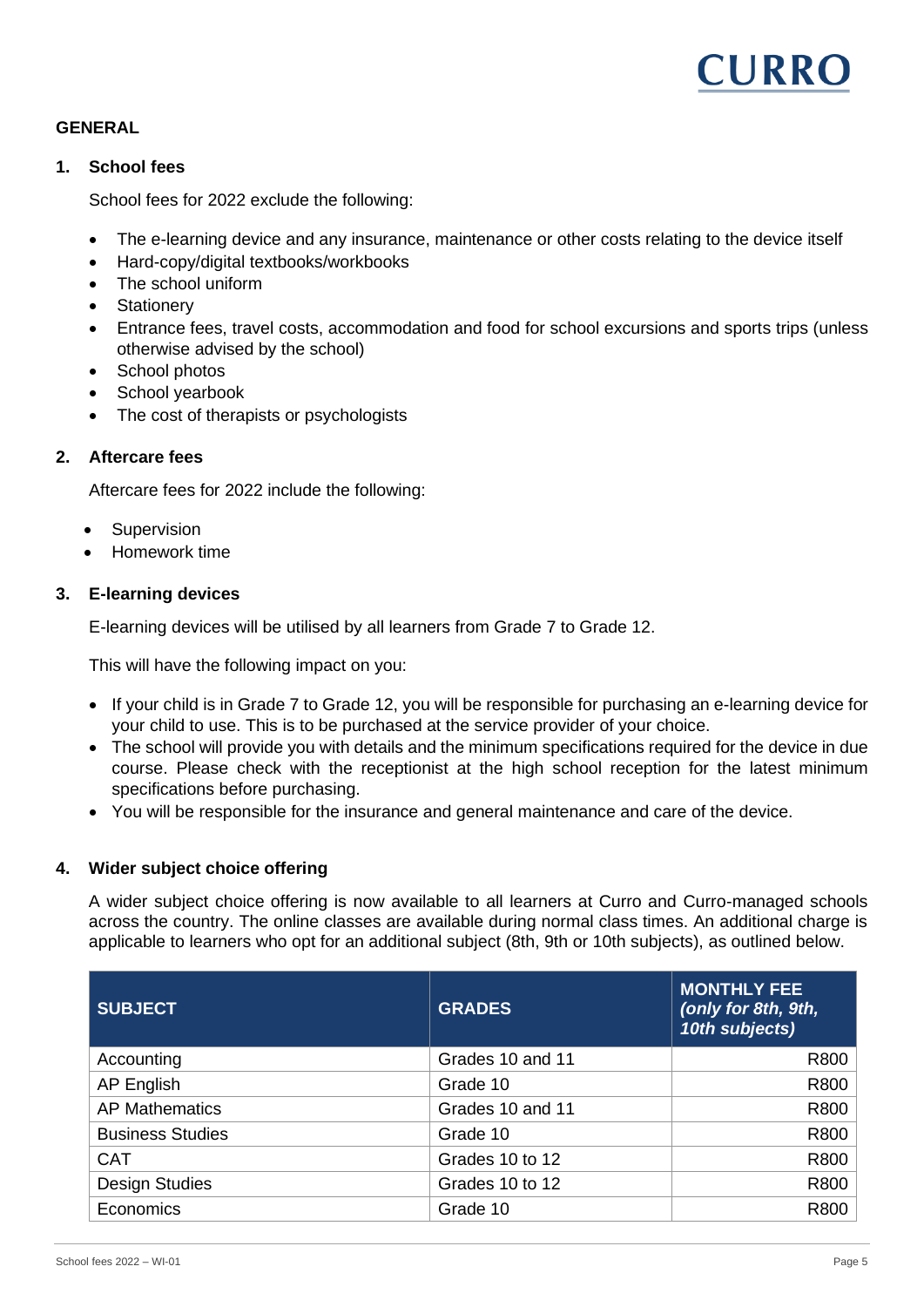

### **GENERAL**

#### **1. School fees**

School fees for 2022 exclude the following:

- The e-learning device and any insurance, maintenance or other costs relating to the device itself
- Hard-copy/digital textbooks/workbooks
- The school uniform
- **Stationerv**
- Entrance fees, travel costs, accommodation and food for school excursions and sports trips (unless otherwise advised by the school)
- School photos
- School yearbook
- The cost of therapists or psychologists

#### **2. Aftercare fees**

Aftercare fees for 2022 include the following:

- **Supervision**
- Homework time

#### **3. E-learning devices**

E-learning devices will be utilised by all learners from Grade 7 to Grade 12.

This will have the following impact on you:

- If your child is in Grade 7 to Grade 12, you will be responsible for purchasing an e-learning device for your child to use. This is to be purchased at the service provider of your choice.
- The school will provide you with details and the minimum specifications required for the device in due course. Please check with the receptionist at the high school reception for the latest minimum specifications before purchasing.
- You will be responsible for the insurance and general maintenance and care of the device.

#### **4. Wider subject choice offering**

A wider subject choice offering is now available to all learners at Curro and Curro-managed schools across the country. The online classes are available during normal class times. An additional charge is applicable to learners who opt for an additional subject (8th, 9th or 10th subjects), as outlined below.

| <b>SUBJECT</b>          | <b>GRADES</b>    | <b>MONTHLY FEE</b><br>(only for 8th, 9th,<br>10th subjects) |
|-------------------------|------------------|-------------------------------------------------------------|
| Accounting              | Grades 10 and 11 | R800                                                        |
| AP English              | Grade 10         | R800                                                        |
| <b>AP Mathematics</b>   | Grades 10 and 11 | R800                                                        |
| <b>Business Studies</b> | Grade 10         | R800                                                        |
| <b>CAT</b>              | Grades 10 to 12  | R800                                                        |
| <b>Design Studies</b>   | Grades 10 to 12  | R800                                                        |
| Economics               | Grade 10         | R800                                                        |